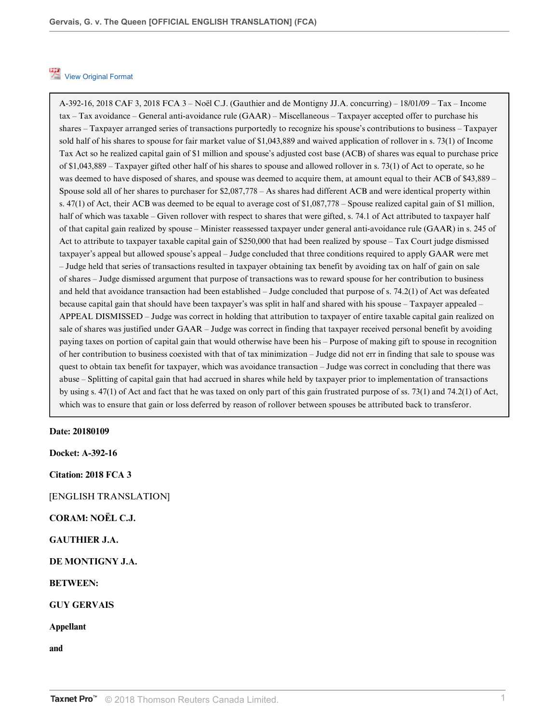## [View Original Format](http://v3.taxnetpro.com/Link/Document/Blob/I4e28245a69b26c82e0540021280d7cce/Gervais%2C%20G.%20v.%20The%20Queen%20%5BOFFICIAL%20ENGLISH%20TRANSLATION%5D%20(FCA).pdf?targetType=crsw-tax-taxnews&originationContext=document&vr=3.0&rs=cblt1.0&transitionType=DocumentImage&contextData=(sc.Search))

A-392-16, 2018 CAF 3, 2018 FCA 3 – Noël C.J. (Gauthier and de Montigny JJ.A. concurring) – 18/01/09 – Tax – Income tax – Tax avoidance – General anti-avoidance rule (GAAR) – Miscellaneous – Taxpayer accepted offer to purchase his shares – Taxpayer arranged series of transactions purportedly to recognize his spouse's contributions to business – Taxpayer sold half of his shares to spouse for fair market value of \$1,043,889 and waived application of rollover in s. 73(1) of Income Tax Act so he realized capital gain of \$1 million and spouse's adjusted cost base (ACB) of shares was equal to purchase price of \$1,043,889 – Taxpayer gifted other half of his shares to spouse and allowed rollover in s. 73(1) of Act to operate, so he was deemed to have disposed of shares, and spouse was deemed to acquire them, at amount equal to their ACB of \$43,889 – Spouse sold all of her shares to purchaser for \$2,087,778 – As shares had different ACB and were identical property within s. 47(1) of Act, their ACB was deemed to be equal to average cost of \$1,087,778 – Spouse realized capital gain of \$1 million, half of which was taxable – Given rollover with respect to shares that were gifted, s. 74.1 of Act attributed to taxpayer half of that capital gain realized by spouse – Minister reassessed taxpayer under general anti-avoidance rule (GAAR) in s. 245 of Act to attribute to taxpayer taxable capital gain of \$250,000 that had been realized by spouse – Tax Court judge dismissed taxpayer's appeal but allowed spouse's appeal – Judge concluded that three conditions required to apply GAAR were met – Judge held that series of transactions resulted in taxpayer obtaining tax benefit by avoiding tax on half of gain on sale of shares – Judge dismissed argument that purpose of transactions was to reward spouse for her contribution to business and held that avoidance transaction had been established – Judge concluded that purpose of s. 74.2(1) of Act was defeated because capital gain that should have been taxpayer's was split in half and shared with his spouse – Taxpayer appealed – APPEAL DISMISSED – Judge was correct in holding that attribution to taxpayer of entire taxable capital gain realized on sale of shares was justified under GAAR – Judge was correct in finding that taxpayer received personal benefit by avoiding paying taxes on portion of capital gain that would otherwise have been his – Purpose of making gift to spouse in recognition of her contribution to business coexisted with that of tax minimization – Judge did not err in finding that sale to spouse was quest to obtain tax benefit for taxpayer, which was avoidance transaction – Judge was correct in concluding that there was abuse – Splitting of capital gain that had accrued in shares while held by taxpayer prior to implementation of transactions by using s. 47(1) of Act and fact that he was taxed on only part of this gain frustrated purpose of ss. 73(1) and 74.2(1) of Act, which was to ensure that gain or loss deferred by reason of rollover between spouses be attributed back to transferor.

### **Date: 20180109**

**Docket: A-392-16**

**Citation: 2018 FCA 3**

[ENGLISH TRANSLATION]

**CORAM: NOËL C.J.**

**GAUTHIER J.A.**

**DE MONTIGNY J.A.**

**BETWEEN:**

**GUY GERVAIS**

**Appellant**

**and**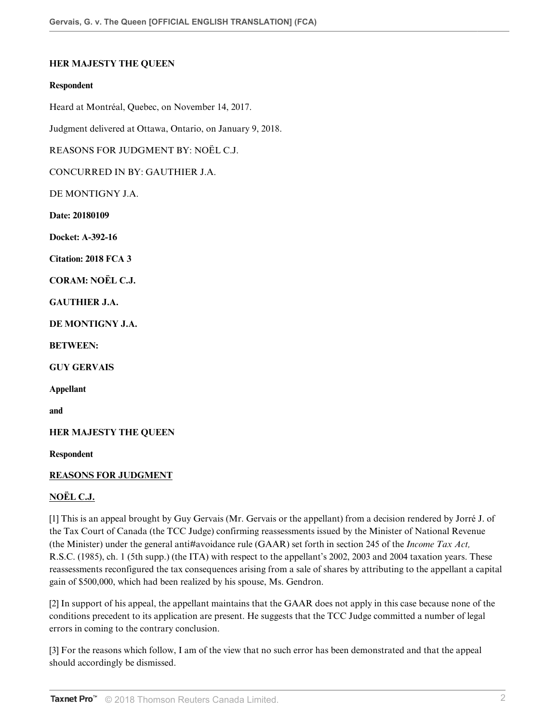## **HER MAJESTY THE QUEEN**

### **Respondent**

Heard at Montréal, Quebec, on November 14, 2017.

Judgment delivered at Ottawa, Ontario, on January 9, 2018.

REASONS FOR JUDGMENT BY: NOËL C.J.

CONCURRED IN BY: GAUTHIER J.A.

DE MONTIGNY J.A.

**Date: 20180109**

**Docket: A-392-16**

**Citation: 2018 FCA 3**

**CORAM: NOËL C.J.**

**GAUTHIER J.A.**

**DE MONTIGNY J.A.**

**BETWEEN:**

**GUY GERVAIS**

**Appellant**

**and**

**HER MAJESTY THE QUEEN**

**Respondent**

### **REASONS FOR JUDGMENT**

## **NOËL C.J.**

[1] This is an appeal brought by Guy Gervais (Mr. Gervais or the appellant) from a decision rendered by Jorré J. of the Tax Court of Canada (the TCC Judge) confirming reassessments issued by the Minister of National Revenue (the Minister) under the general anti#avoidance rule (GAAR) set forth in section 245 of the *Income Tax Act*, R.S.C. (1985), ch. 1 (5th supp.) (the ITA) with respect to the appellant's 2002, 2003 and 2004 taxation years. These reassessments reconfigured the tax consequences arising from a sale of shares by attributing to the appellant a capital gain of \$500,000, which had been realized by his spouse, Ms. Gendron.

[2] In support of his appeal, the appellant maintains that the GAAR does not apply in this case because none of the conditions precedent to its application are present. He suggests that the TCC Judge committed a number of legal errors in coming to the contrary conclusion.

[3] For the reasons which follow, I am of the view that no such error has been demonstrated and that the appeal should accordingly be dismissed.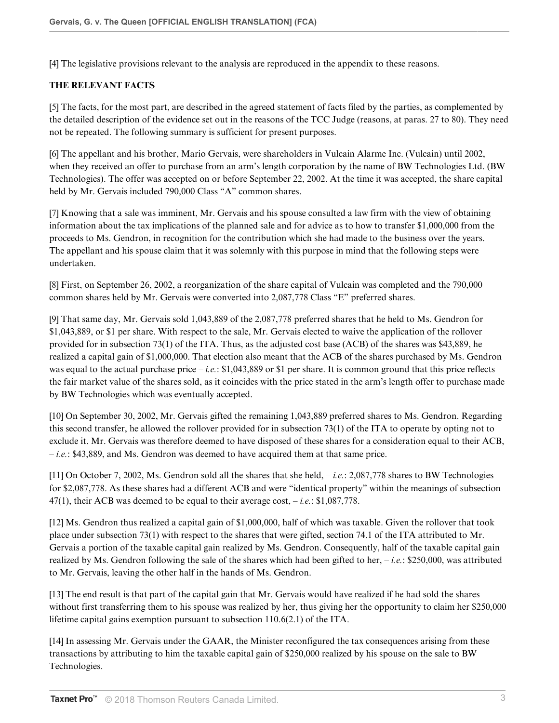[4] The legislative provisions relevant to the analysis are reproduced in the appendix to these reasons.

# **THE RELEVANT FACTS**

[5] The facts, for the most part, are described in the agreed statement of facts filed by the parties, as complemented by the detailed description of the evidence set out in the reasons of the TCC Judge (reasons, at paras. 27 to 80). They need not be repeated. The following summary is sufficient for present purposes.

[6] The appellant and his brother, Mario Gervais, were shareholders in Vulcain Alarme Inc. (Vulcain) until 2002, when they received an offer to purchase from an arm's length corporation by the name of BW Technologies Ltd. (BW Technologies). The offer was accepted on or before September 22, 2002. At the time it was accepted, the share capital held by Mr. Gervais included 790,000 Class "A" common shares.

[7] Knowing that a sale was imminent, Mr. Gervais and his spouse consulted a law firm with the view of obtaining information about the tax implications of the planned sale and for advice as to how to transfer \$1,000,000 from the proceeds to Ms. Gendron, in recognition for the contribution which she had made to the business over the years. The appellant and his spouse claim that it was solemnly with this purpose in mind that the following steps were undertaken.

[8] First, on September 26, 2002, a reorganization of the share capital of Vulcain was completed and the 790,000 common shares held by Mr. Gervais were converted into 2,087,778 Class "E" preferred shares.

[9] That same day, Mr. Gervais sold 1,043,889 of the 2,087,778 preferred shares that he held to Ms. Gendron for \$1,043,889, or \$1 per share. With respect to the sale, Mr. Gervais elected to waive the application of the rollover provided for in subsection 73(1) of the ITA. Thus, as the adjusted cost base (ACB) of the shares was \$43,889, he realized a capital gain of \$1,000,000. That election also meant that the ACB of the shares purchased by Ms. Gendron was equal to the actual purchase price – *i.e.*: \$1,043,889 or \$1 per share. It is common ground that this price reflects the fair market value of the shares sold, as it coincides with the price stated in the arm's length offer to purchase made by BW Technologies which was eventually accepted.

[10] On September 30, 2002, Mr. Gervais gifted the remaining 1,043,889 preferred shares to Ms. Gendron. Regarding this second transfer, he allowed the rollover provided for in subsection 73(1) of the ITA to operate by opting not to exclude it. Mr. Gervais was therefore deemed to have disposed of these shares for a consideration equal to their ACB, *– i.e.*: \$43,889, and Ms. Gendron was deemed to have acquired them at that same price.

[11] On October 7, 2002, Ms. Gendron sold all the shares that she held, *– i.e.*: 2,087,778 shares to BW Technologies for \$2,087,778. As these shares had a different ACB and were "identical property" within the meanings of subsection 47(1), their ACB was deemed to be equal to their average cost, *– i.e.*: \$1,087,778.

[12] Ms. Gendron thus realized a capital gain of \$1,000,000, half of which was taxable. Given the rollover that took place under subsection 73(1) with respect to the shares that were gifted, section 74.1 of the ITA attributed to Mr. Gervais a portion of the taxable capital gain realized by Ms. Gendron. Consequently, half of the taxable capital gain realized by Ms. Gendron following the sale of the shares which had been gifted to her, *– i.e.*: \$250,000, was attributed to Mr. Gervais, leaving the other half in the hands of Ms. Gendron.

[13] The end result is that part of the capital gain that Mr. Gervais would have realized if he had sold the shares without first transferring them to his spouse was realized by her, thus giving her the opportunity to claim her \$250,000 lifetime capital gains exemption pursuant to subsection 110.6(2.1) of the ITA.

[14] In assessing Mr. Gervais under the GAAR, the Minister reconfigured the tax consequences arising from these transactions by attributing to him the taxable capital gain of \$250,000 realized by his spouse on the sale to BW Technologies.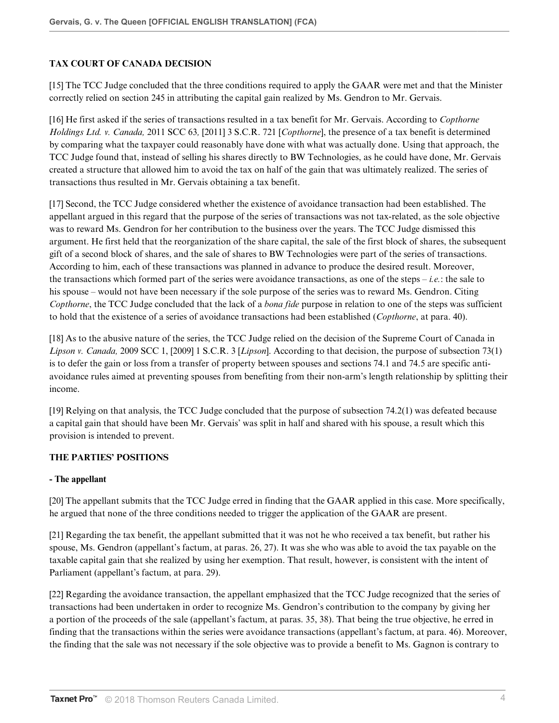# **TAX COURT OF CANADA DECISION**

[15] The TCC Judge concluded that the three conditions required to apply the GAAR were met and that the Minister correctly relied on section 245 in attributing the capital gain realized by Ms. Gendron to Mr. Gervais.

[16] He first asked if the series of transactions resulted in a tax benefit for Mr. Gervais. According to *Copthorne Holdings Ltd. v. Canada,* 2011 SCC 63*,* [2011] 3 S.C.R. 721 [*Copthorne*], the presence of a tax benefit is determined by comparing what the taxpayer could reasonably have done with what was actually done. Using that approach, the TCC Judge found that, instead of selling his shares directly to BW Technologies, as he could have done, Mr. Gervais created a structure that allowed him to avoid the tax on half of the gain that was ultimately realized. The series of transactions thus resulted in Mr. Gervais obtaining a tax benefit.

[17] Second, the TCC Judge considered whether the existence of avoidance transaction had been established. The appellant argued in this regard that the purpose of the series of transactions was not tax-related, as the sole objective was to reward Ms. Gendron for her contribution to the business over the years. The TCC Judge dismissed this argument. He first held that the reorganization of the share capital, the sale of the first block of shares, the subsequent gift of a second block of shares, and the sale of shares to BW Technologies were part of the series of transactions. According to him, each of these transactions was planned in advance to produce the desired result. Moreover, the transactions which formed part of the series were avoidance transactions, as one of the steps *– i.e.*: the sale to his spouse – would not have been necessary if the sole purpose of the series was to reward Ms. Gendron. Citing *Copthorne*, the TCC Judge concluded that the lack of a *bona fide* purpose in relation to one of the steps was sufficient to hold that the existence of a series of avoidance transactions had been established (*Copthorne*, at para. 40).

[18] As to the abusive nature of the series, the TCC Judge relied on the decision of the Supreme Court of Canada in *Lipson v. Canada,* 2009 SCC 1, [2009] 1 S.C.R. 3 [*Lipson*]. According to that decision, the purpose of subsection 73(1) is to defer the gain or loss from a transfer of property between spouses and sections 74.1 and 74.5 are specific antiavoidance rules aimed at preventing spouses from benefiting from their non-arm's length relationship by splitting their income.

[19] Relying on that analysis, the TCC Judge concluded that the purpose of subsection 74.2(1) was defeated because a capital gain that should have been Mr. Gervais' was split in half and shared with his spouse, a result which this provision is intended to prevent.

# **THE PARTIES' POSITIONS**

### **- The appellant**

[20] The appellant submits that the TCC Judge erred in finding that the GAAR applied in this case. More specifically, he argued that none of the three conditions needed to trigger the application of the GAAR are present.

[21] Regarding the tax benefit, the appellant submitted that it was not he who received a tax benefit, but rather his spouse, Ms. Gendron (appellant's factum, at paras. 26, 27). It was she who was able to avoid the tax payable on the taxable capital gain that she realized by using her exemption. That result, however, is consistent with the intent of Parliament (appellant's factum, at para. 29).

[22] Regarding the avoidance transaction, the appellant emphasized that the TCC Judge recognized that the series of transactions had been undertaken in order to recognize Ms. Gendron's contribution to the company by giving her a portion of the proceeds of the sale (appellant's factum, at paras. 35, 38). That being the true objective, he erred in finding that the transactions within the series were avoidance transactions (appellant's factum, at para. 46). Moreover, the finding that the sale was not necessary if the sole objective was to provide a benefit to Ms. Gagnon is contrary to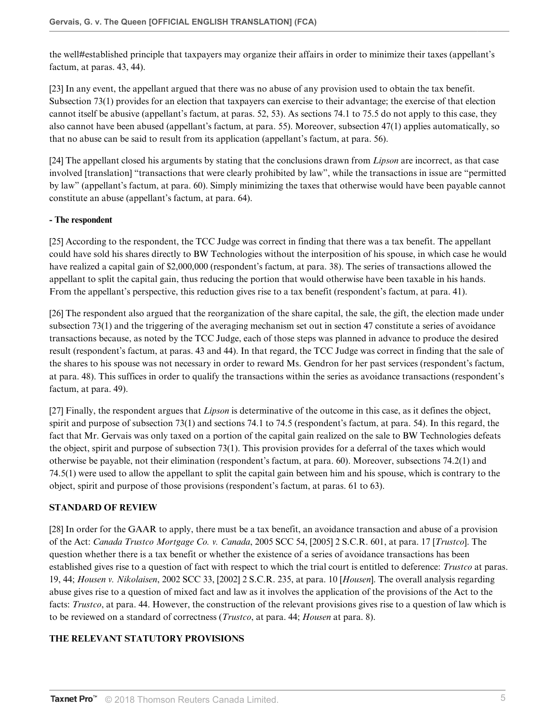the well#established principle that taxpayers may organize their affairs in order to minimize their taxes (appellant's factum, at paras. 43, 44).

[23] In any event, the appellant argued that there was no abuse of any provision used to obtain the tax benefit. Subsection 73(1) provides for an election that taxpayers can exercise to their advantage; the exercise of that election cannot itself be abusive (appellant's factum, at paras. 52, 53). As sections 74.1 to 75.5 do not apply to this case, they also cannot have been abused (appellant's factum, at para. 55). Moreover, subsection 47(1) applies automatically, so that no abuse can be said to result from its application (appellant's factum, at para. 56).

[24] The appellant closed his arguments by stating that the conclusions drawn from *Lipson* are incorrect, as that case involved [translation] "transactions that were clearly prohibited by law", while the transactions in issue are "permitted by law" (appellant's factum, at para. 60). Simply minimizing the taxes that otherwise would have been payable cannot constitute an abuse (appellant's factum, at para. 64).

## **- The respondent**

[25] According to the respondent, the TCC Judge was correct in finding that there was a tax benefit. The appellant could have sold his shares directly to BW Technologies without the interposition of his spouse, in which case he would have realized a capital gain of \$2,000,000 (respondent's factum, at para. 38). The series of transactions allowed the appellant to split the capital gain, thus reducing the portion that would otherwise have been taxable in his hands. From the appellant's perspective, this reduction gives rise to a tax benefit (respondent's factum, at para. 41).

[26] The respondent also argued that the reorganization of the share capital, the sale, the gift, the election made under subsection 73(1) and the triggering of the averaging mechanism set out in section 47 constitute a series of avoidance transactions because, as noted by the TCC Judge, each of those steps was planned in advance to produce the desired result (respondent's factum, at paras. 43 and 44). In that regard, the TCC Judge was correct in finding that the sale of the shares to his spouse was not necessary in order to reward Ms. Gendron for her past services (respondent's factum, at para. 48). This suffices in order to qualify the transactions within the series as avoidance transactions (respondent's factum, at para. 49).

[27] Finally, the respondent argues that *Lipson* is determinative of the outcome in this case, as it defines the object, spirit and purpose of subsection 73(1) and sections 74.1 to 74.5 (respondent's factum, at para. 54). In this regard, the fact that Mr. Gervais was only taxed on a portion of the capital gain realized on the sale to BW Technologies defeats the object, spirit and purpose of subsection 73(1). This provision provides for a deferral of the taxes which would otherwise be payable, not their elimination (respondent's factum, at para. 60). Moreover, subsections 74.2(1) and 74.5(1) were used to allow the appellant to split the capital gain between him and his spouse, which is contrary to the object, spirit and purpose of those provisions (respondent's factum, at paras. 61 to 63).

## **STANDARD OF REVIEW**

[28] In order for the GAAR to apply, there must be a tax benefit, an avoidance transaction and abuse of a provision of the Act: *Canada Trustco Mortgage Co. v. Canada*, 2005 SCC 54, [2005] 2 S.C.R. 601, at para. 17 [*Trustco*]. The question whether there is a tax benefit or whether the existence of a series of avoidance transactions has been established gives rise to a question of fact with respect to which the trial court is entitled to deference: *Trustco* at paras. 19, 44; *Housen v. Nikolaisen*, 2002 SCC 33, [2002] 2 S.C.R. 235, at para. 10 [*Housen*]. The overall analysis regarding abuse gives rise to a question of mixed fact and law as it involves the application of the provisions of the Act to the facts: *Trustco*, at para. 44. However, the construction of the relevant provisions gives rise to a question of law which is to be reviewed on a standard of correctness (*Trustco*, at para. 44; *Housen* at para. 8).

# **THE RELEVANT STATUTORY PROVISIONS**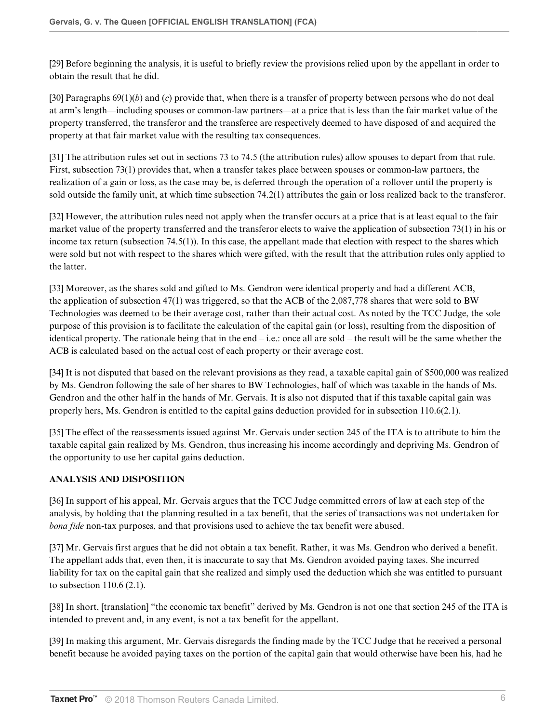[29] Before beginning the analysis, it is useful to briefly review the provisions relied upon by the appellant in order to obtain the result that he did.

[30] Paragraphs 69(1)(*b*) and (*c*) provide that, when there is a transfer of property between persons who do not deal at arm's length—including spouses or common-law partners—at a price that is less than the fair market value of the property transferred, the transferor and the transferee are respectively deemed to have disposed of and acquired the property at that fair market value with the resulting tax consequences.

[31] The attribution rules set out in sections 73 to 74.5 (the attribution rules) allow spouses to depart from that rule. First, subsection 73(1) provides that, when a transfer takes place between spouses or common-law partners, the realization of a gain or loss, as the case may be, is deferred through the operation of a rollover until the property is sold outside the family unit, at which time subsection 74.2(1) attributes the gain or loss realized back to the transferor.

[32] However, the attribution rules need not apply when the transfer occurs at a price that is at least equal to the fair market value of the property transferred and the transferor elects to waive the application of subsection 73(1) in his or income tax return (subsection 74.5(1)). In this case, the appellant made that election with respect to the shares which were sold but not with respect to the shares which were gifted, with the result that the attribution rules only applied to the latter.

[33] Moreover, as the shares sold and gifted to Ms. Gendron were identical property and had a different ACB, the application of subsection 47(1) was triggered, so that the ACB of the 2,087,778 shares that were sold to BW Technologies was deemed to be their average cost, rather than their actual cost. As noted by the TCC Judge, the sole purpose of this provision is to facilitate the calculation of the capital gain (or loss), resulting from the disposition of identical property. The rationale being that in the end  $-i.e.:$  once all are sold – the result will be the same whether the ACB is calculated based on the actual cost of each property or their average cost.

[34] It is not disputed that based on the relevant provisions as they read, a taxable capital gain of \$500,000 was realized by Ms. Gendron following the sale of her shares to BW Technologies, half of which was taxable in the hands of Ms. Gendron and the other half in the hands of Mr. Gervais. It is also not disputed that if this taxable capital gain was properly hers, Ms. Gendron is entitled to the capital gains deduction provided for in subsection 110.6(2.1).

[35] The effect of the reassessments issued against Mr. Gervais under section 245 of the ITA is to attribute to him the taxable capital gain realized by Ms. Gendron, thus increasing his income accordingly and depriving Ms. Gendron of the opportunity to use her capital gains deduction.

# **ANALYSIS AND DISPOSITION**

[36] In support of his appeal, Mr. Gervais argues that the TCC Judge committed errors of law at each step of the analysis, by holding that the planning resulted in a tax benefit, that the series of transactions was not undertaken for *bona fide* non-tax purposes, and that provisions used to achieve the tax benefit were abused.

[37] Mr. Gervais first argues that he did not obtain a tax benefit. Rather, it was Ms. Gendron who derived a benefit. The appellant adds that, even then, it is inaccurate to say that Ms. Gendron avoided paying taxes. She incurred liability for tax on the capital gain that she realized and simply used the deduction which she was entitled to pursuant to subsection 110.6 (2.1).

[38] In short, [translation] "the economic tax benefit" derived by Ms. Gendron is not one that section 245 of the ITA is intended to prevent and, in any event, is not a tax benefit for the appellant.

[39] In making this argument, Mr. Gervais disregards the finding made by the TCC Judge that he received a personal benefit because he avoided paying taxes on the portion of the capital gain that would otherwise have been his, had he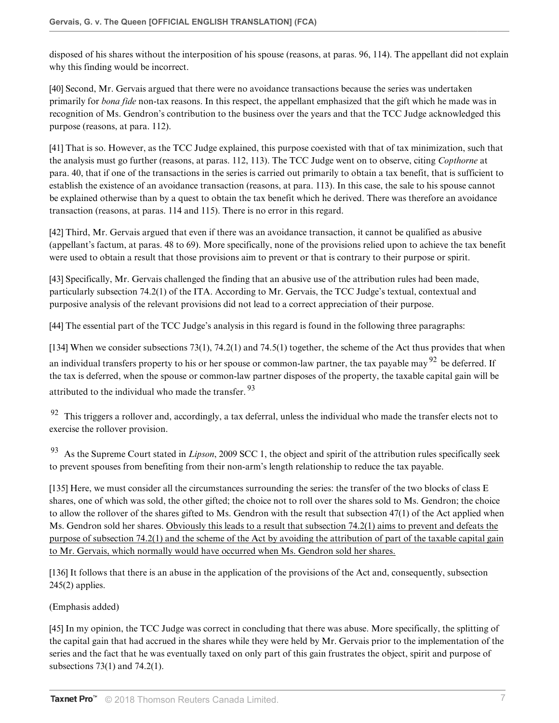disposed of his shares without the interposition of his spouse (reasons, at paras. 96, 114). The appellant did not explain why this finding would be incorrect.

[40] Second, Mr. Gervais argued that there were no avoidance transactions because the series was undertaken primarily for *bona fide* non-tax reasons. In this respect, the appellant emphasized that the gift which he made was in recognition of Ms. Gendron's contribution to the business over the years and that the TCC Judge acknowledged this purpose (reasons, at para. 112).

[41] That is so. However, as the TCC Judge explained, this purpose coexisted with that of tax minimization, such that the analysis must go further (reasons, at paras. 112, 113). The TCC Judge went on to observe, citing *Copthorne* at para. 40, that if one of the transactions in the series is carried out primarily to obtain a tax benefit, that is sufficient to establish the existence of an avoidance transaction (reasons, at para. 113). In this case, the sale to his spouse cannot be explained otherwise than by a quest to obtain the tax benefit which he derived. There was therefore an avoidance transaction (reasons, at paras. 114 and 115). There is no error in this regard.

[42] Third, Mr. Gervais argued that even if there was an avoidance transaction, it cannot be qualified as abusive (appellant's factum, at paras. 48 to 69). More specifically, none of the provisions relied upon to achieve the tax benefit were used to obtain a result that those provisions aim to prevent or that is contrary to their purpose or spirit.

[43] Specifically, Mr. Gervais challenged the finding that an abusive use of the attribution rules had been made, particularly subsection 74.2(1) of the ITA. According to Mr. Gervais, the TCC Judge's textual, contextual and purposive analysis of the relevant provisions did not lead to a correct appreciation of their purpose.

[44] The essential part of the TCC Judge's analysis in this regard is found in the following three paragraphs:

[134] When we consider subsections 73(1), 74.2(1) and 74.5(1) together, the scheme of the Act thus provides that when an individual transfers property to his or her spouse or common-law partner, the tax payable may  $92$  be deferred. If the tax is deferred, when the spouse or common-law partner disposes of the property, the taxable capital gain will be attributed to the individual who made the transfer. <sup>93</sup>

 $92$  This triggers a rollover and, accordingly, a tax deferral, unless the individual who made the transfer elects not to exercise the rollover provision.

<sup>93</sup>As the Supreme Court stated in *Lipson*, 2009 SCC 1, the object and spirit of the attribution rules specifically seek to prevent spouses from benefiting from their non-arm's length relationship to reduce the tax payable.

[135] Here, we must consider all the circumstances surrounding the series: the transfer of the two blocks of class E shares, one of which was sold, the other gifted; the choice not to roll over the shares sold to Ms. Gendron; the choice to allow the rollover of the shares gifted to Ms. Gendron with the result that subsection 47(1) of the Act applied when Ms. Gendron sold her shares. Obviously this leads to a result that subsection 74.2(1) aims to prevent and defeats the purpose of subsection 74.2(1) and the scheme of the Act by avoiding the attribution of part of the taxable capital gain to Mr. Gervais, which normally would have occurred when Ms. Gendron sold her shares.

[136] It follows that there is an abuse in the application of the provisions of the Act and, consequently, subsection  $245(2)$  applies.

(Emphasis added)

[45] In my opinion, the TCC Judge was correct in concluding that there was abuse. More specifically, the splitting of the capital gain that had accrued in the shares while they were held by Mr. Gervais prior to the implementation of the series and the fact that he was eventually taxed on only part of this gain frustrates the object, spirit and purpose of subsections 73(1) and 74.2(1).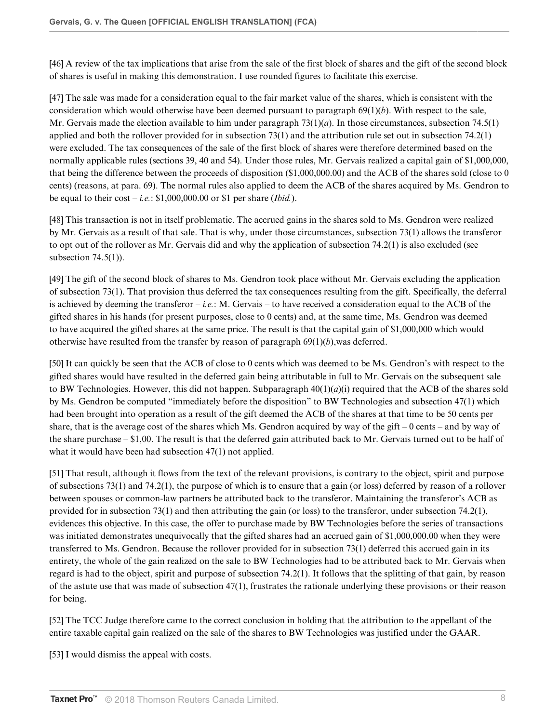[46] A review of the tax implications that arise from the sale of the first block of shares and the gift of the second block of shares is useful in making this demonstration. I use rounded figures to facilitate this exercise.

[47] The sale was made for a consideration equal to the fair market value of the shares, which is consistent with the consideration which would otherwise have been deemed pursuant to paragraph 69(1)(*b*). With respect to the sale, Mr. Gervais made the election available to him under paragraph  $73(1)(a)$ . In those circumstances, subsection  $74.5(1)$ applied and both the rollover provided for in subsection 73(1) and the attribution rule set out in subsection 74.2(1) were excluded. The tax consequences of the sale of the first block of shares were therefore determined based on the normally applicable rules (sections 39, 40 and 54). Under those rules, Mr. Gervais realized a capital gain of \$1,000,000, that being the difference between the proceeds of disposition (\$1,000,000.00) and the ACB of the shares sold (close to 0 cents) (reasons, at para. 69). The normal rules also applied to deem the ACB of the shares acquired by Ms. Gendron to be equal to their  $cost - i.e.$ : \$1,000,000.00 or \$1 per share (*Ibid.*).

[48] This transaction is not in itself problematic. The accrued gains in the shares sold to Ms. Gendron were realized by Mr. Gervais as a result of that sale. That is why, under those circumstances, subsection 73(1) allows the transferor to opt out of the rollover as Mr. Gervais did and why the application of subsection 74.2(1) is also excluded (see subsection  $74.5(1)$ ).

[49] The gift of the second block of shares to Ms. Gendron took place without Mr. Gervais excluding the application of subsection 73(1). That provision thus deferred the tax consequences resulting from the gift. Specifically, the deferral is achieved by deeming the transferor – *i.e.*: M. Gervais – to have received a consideration equal to the ACB of the gifted shares in his hands (for present purposes, close to 0 cents) and, at the same time, Ms. Gendron was deemed to have acquired the gifted shares at the same price. The result is that the capital gain of \$1,000,000 which would otherwise have resulted from the transfer by reason of paragraph  $69(1)(b)$ , was deferred.

[50] It can quickly be seen that the ACB of close to 0 cents which was deemed to be Ms. Gendron's with respect to the gifted shares would have resulted in the deferred gain being attributable in full to Mr. Gervais on the subsequent sale to BW Technologies. However, this did not happen. Subparagraph  $40(1)(a)(i)$  required that the ACB of the shares sold by Ms. Gendron be computed "immediately before the disposition" to BW Technologies and subsection 47(1) which had been brought into operation as a result of the gift deemed the ACB of the shares at that time to be 50 cents per share, that is the average cost of the shares which Ms. Gendron acquired by way of the gift  $-0$  cents – and by way of the share purchase – \$1,00. The result is that the deferred gain attributed back to Mr. Gervais turned out to be half of what it would have been had subsection 47(1) not applied.

[51] That result, although it flows from the text of the relevant provisions, is contrary to the object, spirit and purpose of subsections 73(1) and 74.2(1), the purpose of which is to ensure that a gain (or loss) deferred by reason of a rollover between spouses or common-law partners be attributed back to the transferor. Maintaining the transferor's ACB as provided for in subsection 73(1) and then attributing the gain (or loss) to the transferor, under subsection 74.2(1), evidences this objective. In this case, the offer to purchase made by BW Technologies before the series of transactions was initiated demonstrates unequivocally that the gifted shares had an accrued gain of \$1,000,000.00 when they were transferred to Ms. Gendron. Because the rollover provided for in subsection 73(1) deferred this accrued gain in its entirety, the whole of the gain realized on the sale to BW Technologies had to be attributed back to Mr. Gervais when regard is had to the object, spirit and purpose of subsection 74.2(1). It follows that the splitting of that gain, by reason of the astute use that was made of subsection 47(1), frustrates the rationale underlying these provisions or their reason for being.

[52] The TCC Judge therefore came to the correct conclusion in holding that the attribution to the appellant of the entire taxable capital gain realized on the sale of the shares to BW Technologies was justified under the GAAR.

[53] I would dismiss the appeal with costs.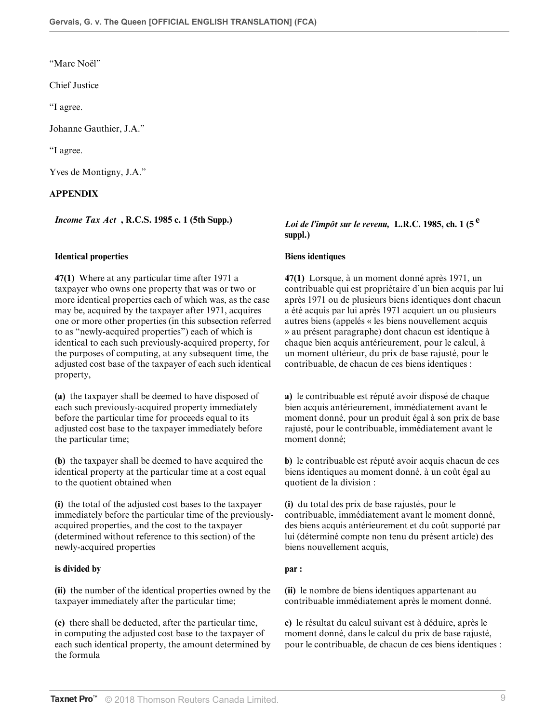"Marc Noël"

Chief Justice

"I agree.

Johanne Gauthier, J.A."

"I agree.

Yves de Montigny, J.A."

## **APPENDIX**

### **Identical properties Biens identiques**

**47(1)** Where at any particular time after 1971 a taxpayer who owns one property that was or two or more identical properties each of which was, as the case may be, acquired by the taxpayer after 1971, acquires one or more other properties (in this subsection referred to as "newly-acquired properties") each of which is identical to each such previously-acquired property, for the purposes of computing, at any subsequent time, the adjusted cost base of the taxpayer of each such identical property,

**(a)** the taxpayer shall be deemed to have disposed of each such previously-acquired property immediately before the particular time for proceeds equal to its adjusted cost base to the taxpayer immediately before the particular time;

**(b)** the taxpayer shall be deemed to have acquired the identical property at the particular time at a cost equal to the quotient obtained when

**(i)** the total of the adjusted cost bases to the taxpayer immediately before the particular time of the previouslyacquired properties, and the cost to the taxpayer (determined without reference to this section) of the newly-acquired properties

### **is divided by par :**

**(ii)** the number of the identical properties owned by the taxpayer immediately after the particular time;

**(c)** there shall be deducted, after the particular time, in computing the adjusted cost base to the taxpayer of each such identical property, the amount determined by the formula

# *Income Tax Act* **, R.C.S. 1985 c. 1 (5th Supp.)** *Loi de l'impôt sur le revenu,* **L.R.C. 1985, ch. 1 (5 <sup>e</sup> suppl.)**

**47(1)** Lorsque, à un moment donné après 1971, un contribuable qui est propriétaire d'un bien acquis par lui après 1971 ou de plusieurs biens identiques dont chacun a été acquis par lui après 1971 acquiert un ou plusieurs autres biens (appelés « les biens nouvellement acquis » au présent paragraphe) dont chacun est identique à chaque bien acquis antérieurement, pour le calcul, à un moment ultérieur, du prix de base rajusté, pour le contribuable, de chacun de ces biens identiques :

**a)** le contribuable est réputé avoir disposé de chaque bien acquis antérieurement, immédiatement avant le moment donné, pour un produit égal à son prix de base rajusté, pour le contribuable, immédiatement avant le moment donné;

**b)** le contribuable est réputé avoir acquis chacun de ces biens identiques au moment donné, à un coût égal au quotient de la division :

**(i)** du total des prix de base rajustés, pour le contribuable, immédiatement avant le moment donné, des biens acquis antérieurement et du coût supporté par lui (déterminé compte non tenu du présent article) des biens nouvellement acquis,

**(ii)** le nombre de biens identiques appartenant au contribuable immédiatement après le moment donné.

**c)** le résultat du calcul suivant est à déduire, après le moment donné, dans le calcul du prix de base rajusté, pour le contribuable, de chacun de ces biens identiques :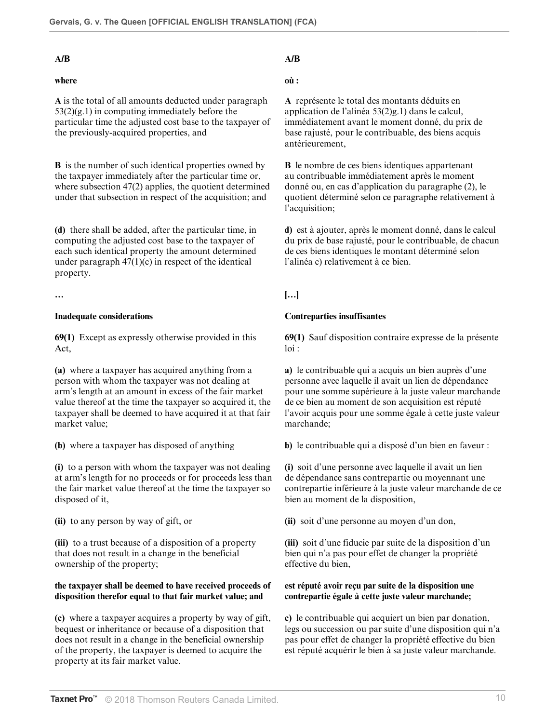### **A/B A/B**

## **where**

**A** is the total of all amounts deducted under paragraph  $53(2)(g.1)$  in computing immediately before the particular time the adjusted cost base to the taxpayer of the previously-acquired properties, and

**B** is the number of such identical properties owned by the taxpayer immediately after the particular time or, where subsection 47(2) applies, the quotient determined under that subsection in respect of the acquisition; and

**(d)** there shall be added, after the particular time, in computing the adjusted cost base to the taxpayer of each such identical property the amount determined under paragraph  $47(1)(c)$  in respect of the identical property.

**69(1)** Except as expressly otherwise provided in this Act,

**(a)** where a taxpayer has acquired anything from a person with whom the taxpayer was not dealing at arm's length at an amount in excess of the fair market value thereof at the time the taxpayer so acquired it, the taxpayer shall be deemed to have acquired it at that fair market value;

**(i)** to a person with whom the taxpayer was not dealing at arm's length for no proceeds or for proceeds less than the fair market value thereof at the time the taxpayer so disposed of it,

**(iii)** to a trust because of a disposition of a property that does not result in a change in the beneficial ownership of the property;

### **the taxpayer shall be deemed to have received proceeds of disposition therefor equal to that fair market value; and**

**(c)** where a taxpayer acquires a property by way of gift, bequest or inheritance or because of a disposition that does not result in a change in the beneficial ownership of the property, the taxpayer is deemed to acquire the property at its fair market value.

## **où :**

**A** représente le total des montants déduits en application de l'alinéa 53(2)g.1) dans le calcul, immédiatement avant le moment donné, du prix de base rajusté, pour le contribuable, des biens acquis antérieurement,

**B** le nombre de ces biens identiques appartenant au contribuable immédiatement après le moment donné ou, en cas d'application du paragraphe (2), le quotient déterminé selon ce paragraphe relativement à l'acquisition;

**d)** est à ajouter, après le moment donné, dans le calcul du prix de base rajusté, pour le contribuable, de chacun de ces biens identiques le montant déterminé selon l'alinéa c) relativement à ce bien.

## **… […]**

### **Inadequate considerations Contreparties insuffisantes**

**69(1)** Sauf disposition contraire expresse de la présente  $\ln i$ :

**a)** le contribuable qui a acquis un bien auprès d'une personne avec laquelle il avait un lien de dépendance pour une somme supérieure à la juste valeur marchande de ce bien au moment de son acquisition est réputé l'avoir acquis pour une somme égale à cette juste valeur marchande;

**(b)** where a taxpayer has disposed of anything **b)** le contribuable qui a disposé d'un bien en faveur :

**(i)** soit d'une personne avec laquelle il avait un lien de dépendance sans contrepartie ou moyennant une contrepartie inférieure à la juste valeur marchande de ce bien au moment de la disposition,

**(ii)** to any person by way of gift, or **(ii)** soit d'une personne au moyen d'un don,

**(iii)** soit d'une fiducie par suite de la disposition d'un bien qui n'a pas pour effet de changer la propriété effective du bien,

### **est réputé avoir reçu par suite de la disposition une contrepartie égale à cette juste valeur marchande;**

**c)** le contribuable qui acquiert un bien par donation, legs ou succession ou par suite d'une disposition qui n'a pas pour effet de changer la propriété effective du bien est réputé acquérir le bien à sa juste valeur marchande.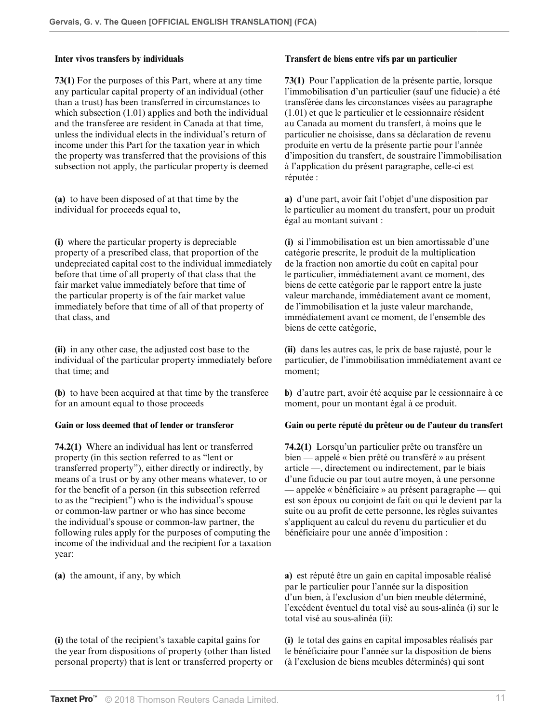**73(1)** For the purposes of this Part, where at any time any particular capital property of an individual (other than a trust) has been transferred in circumstances to which subsection (1.01) applies and both the individual and the transferee are resident in Canada at that time, unless the individual elects in the individual's return of income under this Part for the taxation year in which the property was transferred that the provisions of this subsection not apply, the particular property is deemed

**(a)** to have been disposed of at that time by the individual for proceeds equal to,

**(i)** where the particular property is depreciable property of a prescribed class, that proportion of the undepreciated capital cost to the individual immediately before that time of all property of that class that the fair market value immediately before that time of the particular property is of the fair market value immediately before that time of all of that property of that class, and

**(ii)** in any other case, the adjusted cost base to the individual of the particular property immediately before that time; and

**(b)** to have been acquired at that time by the transferee for an amount equal to those proceeds

**74.2(1)** Where an individual has lent or transferred property (in this section referred to as "lent or transferred property"), either directly or indirectly, by means of a trust or by any other means whatever, to or for the benefit of a person (in this subsection referred to as the "recipient") who is the individual's spouse or common-law partner or who has since become the individual's spouse or common-law partner, the following rules apply for the purposes of computing the income of the individual and the recipient for a taxation year:

**(i)** the total of the recipient's taxable capital gains for the year from dispositions of property (other than listed personal property) that is lent or transferred property or

### **Inter vivos transfers by individuals Transfert de biens entre vifs par un particulier**

**73(1)** Pour l'application de la présente partie, lorsque l'immobilisation d'un particulier (sauf une fiducie) a été transférée dans les circonstances visées au paragraphe (1.01) et que le particulier et le cessionnaire résident au Canada au moment du transfert, à moins que le particulier ne choisisse, dans sa déclaration de revenu produite en vertu de la présente partie pour l'année d'imposition du transfert, de soustraire l'immobilisation à l'application du présent paragraphe, celle-ci est réputée :

**a)** d'une part, avoir fait l'objet d'une disposition par le particulier au moment du transfert, pour un produit égal au montant suivant :

**(i)** si l'immobilisation est un bien amortissable d'une catégorie prescrite, le produit de la multiplication de la fraction non amortie du coût en capital pour le particulier, immédiatement avant ce moment, des biens de cette catégorie par le rapport entre la juste valeur marchande, immédiatement avant ce moment, de l'immobilisation et la juste valeur marchande, immédiatement avant ce moment, de l'ensemble des biens de cette catégorie,

**(ii)** dans les autres cas, le prix de base rajusté, pour le particulier, de l'immobilisation immédiatement avant ce moment;

**b)** d'autre part, avoir été acquise par le cessionnaire à ce moment, pour un montant égal à ce produit.

### **Gain or loss deemed that of lender or transferor Gain ou perte réputé du prêteur ou de l'auteur du transfert**

**74.2(1)** Lorsqu'un particulier prête ou transfère un bien — appelé « bien prêté ou transféré » au présent article —, directement ou indirectement, par le biais d'une fiducie ou par tout autre moyen, à une personne — appelée « bénéficiaire » au présent paragraphe — qui est son époux ou conjoint de fait ou qui le devient par la suite ou au profit de cette personne, les règles suivantes s'appliquent au calcul du revenu du particulier et du bénéficiaire pour une année d'imposition :

**(a)** the amount, if any, by which **a)** est réputé être un gain en capital imposable réalisé par le particulier pour l'année sur la disposition d'un bien, à l'exclusion d'un bien meuble déterminé, l'excédent éventuel du total visé au sous-alinéa (i) sur le total visé au sous-alinéa (ii):

> **(i)** le total des gains en capital imposables réalisés par le bénéficiaire pour l'année sur la disposition de biens (à l'exclusion de biens meubles déterminés) qui sont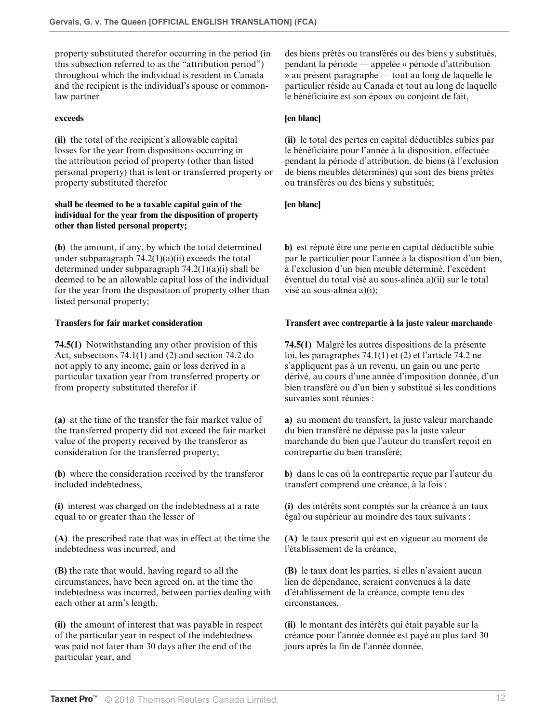property substituted therefor occurring in the period (in this subsection referred to as the "attribution period") throughout which the individual is resident in Canada and the recipient is the individual's spouse or commonlaw partner

**(ii)** the total of the recipient's allowable capital losses for the year from dispositions occurring in the attribution period of property (other than listed personal property) that is lent or transferred property or property substituted therefor

### **shall be deemed to be a taxable capital gain of the individual for the year from the disposition of property other than listed personal property;**

**(b)** the amount, if any, by which the total determined under subparagraph  $74.2(1)(a)(ii)$  exceeds the total determined under subparagraph 74.2(1)(a)(i) shall be deemed to be an allowable capital loss of the individual for the year from the disposition of property other than listed personal property;

**74.5(1)** Notwithstanding any other provision of this Act, subsections 74.1(1) and (2) and section 74.2 do not apply to any income, gain or loss derived in a particular taxation year from transferred property or from property substituted therefor if

**(a)** at the time of the transfer the fair market value of the transferred property did not exceed the fair market value of the property received by the transferor as consideration for the transferred property;

**(b)** where the consideration received by the transferor included indebtedness,

**(i)** interest was charged on the indebtedness at a rate equal to or greater than the lesser of

**(A)** the prescribed rate that was in effect at the time the indebtedness was incurred, and

**(B)** the rate that would, having regard to all the circumstances, have been agreed on, at the time the indebtedness was incurred, between parties dealing with each other at arm's length,

**(ii)** the amount of interest that was payable in respect of the particular year in respect of the indebtedness was paid not later than 30 days after the end of the particular year, and

des biens prêtés ou transférés ou des biens y substitués, pendant la période — appelée « période d'attribution » au présent paragraphe — tout au long de laquelle le particulier réside au Canada et tout au long de laquelle le bénéficiaire est son époux ou conjoint de fait,

## **exceeds [en blanc]**

**(ii)** le total des pertes en capital déductibles subies par le bénéficiaire pour l'année à la disposition, effectuée pendant la période d'attribution, de biens (à l'exclusion de biens meubles déterminés) qui sont des biens prêtés ou transférés ou des biens y substitués;

## **[en blanc]**

**b)** est réputé être une perte en capital déductible subie par le particulier pour l'année à la disposition d'un bien, à l'exclusion d'un bien meuble déterminé, l'excédent éventuel du total visé au sous-alinéa a)(ii) sur le total visé au sous-alinéa a)(i);

## **Transfers for fair market consideration Transfert avec contrepartie à la juste valeur marchande**

**74.5(1)** Malgré les autres dispositions de la présente loi, les paragraphes 74.1(1) et (2) et l'article 74.2 ne s'appliquent pas à un revenu, un gain ou une perte dérivé, au cours d'une année d'imposition donnée, d'un bien transféré ou d'un bien y substitué si les conditions suivantes sont réunies :

**a)** au moment du transfert, la juste valeur marchande du bien transféré ne dépasse pas la juste valeur marchande du bien que l'auteur du transfert reçoit en contrepartie du bien transféré;

**b)** dans le cas où la contrepartie reçue par l'auteur du transfert comprend une créance, à la fois :

**(i)** des intérêts sont comptés sur la créance à un taux égal ou supérieur au moindre des taux suivants :

**(A)** le taux prescrit qui est en vigueur au moment de l'établissement de la créance,

**(B)** le taux dont les parties, si elles n'avaient aucun lien de dépendance, seraient convenues à la date d'établissement de la créance, compte tenu des circonstances,

**(ii)** le montant des intérêts qui était payable sur la créance pour l'année donnée est payé au plus tard 30 jours après la fin de l'année donnée,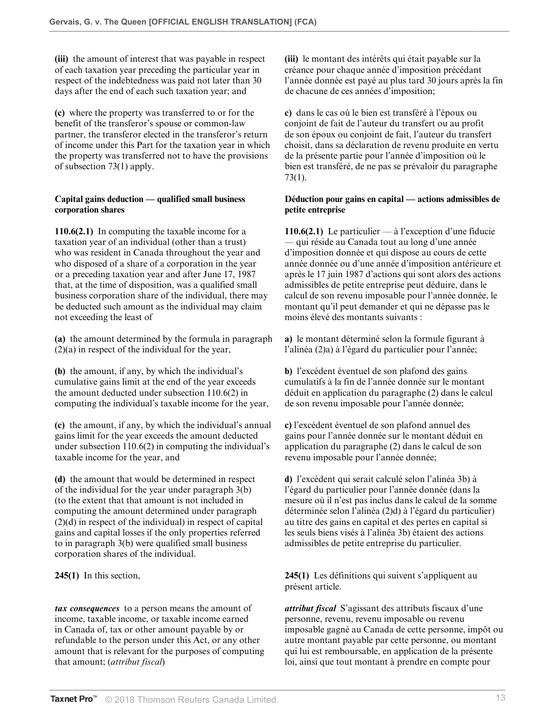**(iii)** the amount of interest that was payable in respect of each taxation year preceding the particular year in respect of the indebtedness was paid not later than 30 days after the end of each such taxation year; and

**(c)** where the property was transferred to or for the benefit of the transferor's spouse or common-law partner, the transferor elected in the transferor's return of income under this Part for the taxation year in which the property was transferred not to have the provisions of subsection 73(1) apply.

## **Capital gains deduction — qualified small business corporation shares**

**110.6(2.1)** In computing the taxable income for a taxation year of an individual (other than a trust) who was resident in Canada throughout the year and who disposed of a share of a corporation in the year or a preceding taxation year and after June 17, 1987 that, at the time of disposition, was a qualified small business corporation share of the individual, there may be deducted such amount as the individual may claim not exceeding the least of

**(a)** the amount determined by the formula in paragraph (2)(a) in respect of the individual for the year,

**(b)** the amount, if any, by which the individual's cumulative gains limit at the end of the year exceeds the amount deducted under subsection 110.6(2) in computing the individual's taxable income for the year,

**(c)** the amount, if any, by which the individual's annual gains limit for the year exceeds the amount deducted under subsection 110.6(2) in computing the individual's taxable income for the year, and

**(d)** the amount that would be determined in respect of the individual for the year under paragraph 3(b) (to the extent that that amount is not included in computing the amount determined under paragraph (2)(d) in respect of the individual) in respect of capital gains and capital losses if the only properties referred to in paragraph 3(b) were qualified small business corporation shares of the individual.

*tax consequences* to a person means the amount of income, taxable income, or taxable income earned in Canada of, tax or other amount payable by or refundable to the person under this Act, or any other amount that is relevant for the purposes of computing that amount; (*attribut fiscal*)

**(iii)** le montant des intérêts qui était payable sur la créance pour chaque année d'imposition précédant l'année donnée est payé au plus tard 30 jours après la fin de chacune de ces années d'imposition;

**c)** dans le cas où le bien est transféré à l'époux ou conjoint de fait de l'auteur du transfert ou au profit de son époux ou conjoint de fait, l'auteur du transfert choisit, dans sa déclaration de revenu produite en vertu de la présente partie pour l'année d'imposition où le bien est transféré, de ne pas se prévaloir du paragraphe 73(1).

## **Déduction pour gains en capital — actions admissibles de petite entreprise**

**110.6(2.1)** Le particulier — à l'exception d'une fiducie — qui réside au Canada tout au long d'une année d'imposition donnée et qui dispose au cours de cette année donnée ou d'une année d'imposition antérieure et après le 17 juin 1987 d'actions qui sont alors des actions admissibles de petite entreprise peut déduire, dans le calcul de son revenu imposable pour l'année donnée, le montant qu'il peut demander et qui ne dépasse pas le moins élevé des montants suivants :

**a)** le montant déterminé selon la formule figurant à l'alinéa (2)a) à l'égard du particulier pour l'année;

**b)** l'excédent éventuel de son plafond des gains cumulatifs à la fin de l'année donnée sur le montant déduit en application du paragraphe (2) dans le calcul de son revenu imposable pour l'année donnée;

**c)** l'excédent éventuel de son plafond annuel des gains pour l'année donnée sur le montant déduit en application du paragraphe (2) dans le calcul de son revenu imposable pour l'année donnée;

**d)** l'excédent qui serait calculé selon l'alinéa 3b) à l'égard du particulier pour l'année donnée (dans la mesure où il n'est pas inclus dans le calcul de la somme déterminée selon l'alinéa (2)d) à l'égard du particulier) au titre des gains en capital et des pertes en capital si les seuls biens visés à l'alinéa 3b) étaient des actions admissibles de petite entreprise du particulier.

**245(1)** In this section, **245(1)** Les définitions qui suivent s'appliquent au présent article.

> *attribut fiscal* S'agissant des attributs fiscaux d'une personne, revenu, revenu imposable ou revenu imposable gagné au Canada de cette personne, impôt ou autre montant payable par cette personne, ou montant qui lui est remboursable, en application de la présente loi, ainsi que tout montant à prendre en compte pour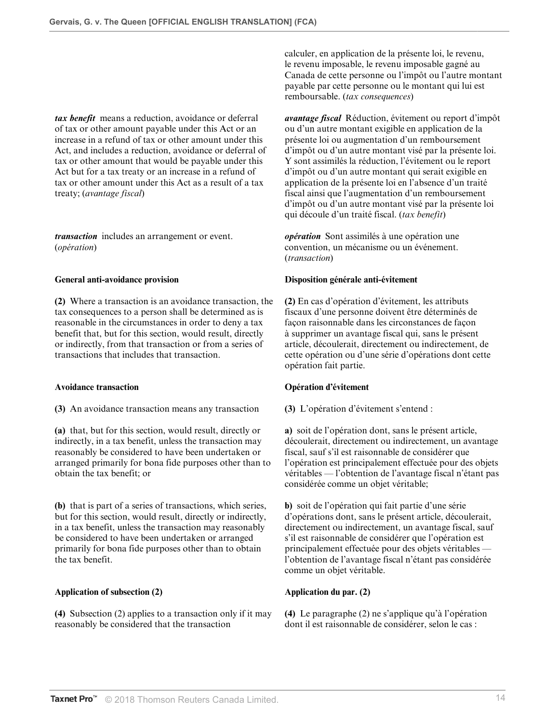*tax benefit* means a reduction, avoidance or deferral of tax or other amount payable under this Act or an increase in a refund of tax or other amount under this Act, and includes a reduction, avoidance or deferral of tax or other amount that would be payable under this Act but for a tax treaty or an increase in a refund of tax or other amount under this Act as a result of a tax treaty; (*avantage fiscal*)

*transaction* includes an arrangement or event. (*opération*)

**(2)** Where a transaction is an avoidance transaction, the tax consequences to a person shall be determined as is reasonable in the circumstances in order to deny a tax benefit that, but for this section, would result, directly or indirectly, from that transaction or from a series of transactions that includes that transaction.

**(3)** An avoidance transaction means any transaction **(3)** L'opération d'évitement s'entend :

**(a)** that, but for this section, would result, directly or indirectly, in a tax benefit, unless the transaction may reasonably be considered to have been undertaken or arranged primarily for bona fide purposes other than to obtain the tax benefit; or

**(b)** that is part of a series of transactions, which series, but for this section, would result, directly or indirectly, in a tax benefit, unless the transaction may reasonably be considered to have been undertaken or arranged primarily for bona fide purposes other than to obtain the tax benefit.

### **Application of subsection (2) Application du par. (2)**

**(4)** Subsection (2) applies to a transaction only if it may reasonably be considered that the transaction

calculer, en application de la présente loi, le revenu, le revenu imposable, le revenu imposable gagné au Canada de cette personne ou l'impôt ou l'autre montant payable par cette personne ou le montant qui lui est remboursable. (*tax consequences*)

*avantage fiscal* Réduction, évitement ou report d'impôt ou d'un autre montant exigible en application de la présente loi ou augmentation d'un remboursement d'impôt ou d'un autre montant visé par la présente loi. Y sont assimilés la réduction, l'évitement ou le report d'impôt ou d'un autre montant qui serait exigible en application de la présente loi en l'absence d'un traité fiscal ainsi que l'augmentation d'un remboursement d'impôt ou d'un autre montant visé par la présente loi qui découle d'un traité fiscal. (*tax benefit*)

*opération* Sont assimilés à une opération une convention, un mécanisme ou un événement. (*transaction*)

### **General anti-avoidance provision Disposition générale anti-évitement**

**(2)** En cas d'opération d'évitement, les attributs fiscaux d'une personne doivent être déterminés de façon raisonnable dans les circonstances de façon à supprimer un avantage fiscal qui, sans le présent article, découlerait, directement ou indirectement, de cette opération ou d'une série d'opérations dont cette opération fait partie.

### **Avoidance transaction Opération d'évitement**

**a)** soit de l'opération dont, sans le présent article, découlerait, directement ou indirectement, un avantage fiscal, sauf s'il est raisonnable de considérer que l'opération est principalement effectuée pour des objets véritables — l'obtention de l'avantage fiscal n'étant pas considérée comme un objet véritable;

**b)** soit de l'opération qui fait partie d'une série d'opérations dont, sans le présent article, découlerait, directement ou indirectement, un avantage fiscal, sauf s'il est raisonnable de considérer que l'opération est principalement effectuée pour des objets véritables l'obtention de l'avantage fiscal n'étant pas considérée comme un objet véritable.

**(4)** Le paragraphe (2) ne s'applique qu'à l'opération dont il est raisonnable de considérer, selon le cas :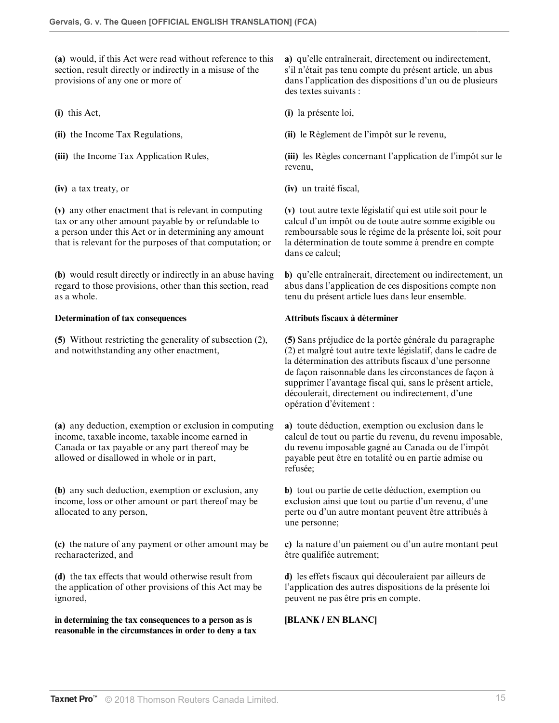**(a)** would, if this Act were read without reference to this section, result directly or indirectly in a misuse of the provisions of any one or more of

**(iv)** a tax treaty, or **(iv)** un traité fiscal,

**(v)** any other enactment that is relevant in computing tax or any other amount payable by or refundable to a person under this Act or in determining any amount that is relevant for the purposes of that computation; or

**(b)** would result directly or indirectly in an abuse having regard to those provisions, other than this section, read as a whole.

## **Determination of tax consequences Attributs fiscaux à déterminer**

**(5)** Without restricting the generality of subsection (2), and notwithstanding any other enactment,

**(a)** any deduction, exemption or exclusion in computing income, taxable income, taxable income earned in Canada or tax payable or any part thereof may be allowed or disallowed in whole or in part,

**(b)** any such deduction, exemption or exclusion, any income, loss or other amount or part thereof may be allocated to any person,

**(c)** the nature of any payment or other amount may be recharacterized, and

**(d)** the tax effects that would otherwise result from the application of other provisions of this Act may be ignored,

**in determining the tax consequences to a person as is reasonable in the circumstances in order to deny a tax** **a)** qu'elle entraînerait, directement ou indirectement, s'il n'était pas tenu compte du présent article, un abus dans l'application des dispositions d'un ou de plusieurs des textes suivants :

**(i)** this Act, **(i)** la présente loi,

**(ii)** the Income Tax Regulations, **(ii)** le Règlement de l'impôt sur le revenu,

**(iii)** the Income Tax Application Rules, **(iii)** les Règles concernant l'application de l'impôt sur le revenu,

**(v)** tout autre texte législatif qui est utile soit pour le calcul d'un impôt ou de toute autre somme exigible ou remboursable sous le régime de la présente loi, soit pour la détermination de toute somme à prendre en compte dans ce calcul;

**b)** qu'elle entraînerait, directement ou indirectement, un abus dans l'application de ces dispositions compte non tenu du présent article lues dans leur ensemble.

**(5)** Sans préjudice de la portée générale du paragraphe (2) et malgré tout autre texte législatif, dans le cadre de la détermination des attributs fiscaux d'une personne de façon raisonnable dans les circonstances de façon à supprimer l'avantage fiscal qui, sans le présent article, découlerait, directement ou indirectement, d'une opération d'évitement :

**a)** toute déduction, exemption ou exclusion dans le calcul de tout ou partie du revenu, du revenu imposable, du revenu imposable gagné au Canada ou de l'impôt payable peut être en totalité ou en partie admise ou refusée;

**b)** tout ou partie de cette déduction, exemption ou exclusion ainsi que tout ou partie d'un revenu, d'une perte ou d'un autre montant peuvent être attribués à une personne;

**c)** la nature d'un paiement ou d'un autre montant peut être qualifiée autrement;

**d)** les effets fiscaux qui découleraient par ailleurs de l'application des autres dispositions de la présente loi peuvent ne pas être pris en compte.

# **[BLANK / EN BLANC]**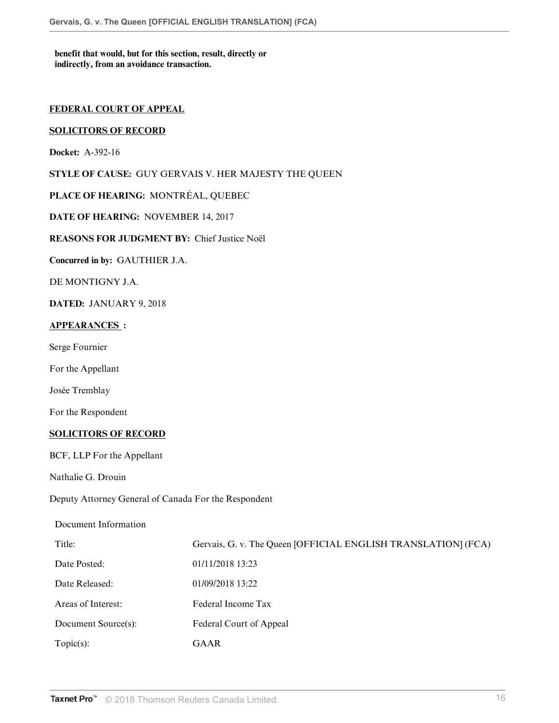**benefit that would, but for this section, result, directly or indirectly, from an avoidance transaction.**

## **FEDERAL COURT OF APPEAL**

## **SOLICITORS OF RECORD**

**Docket:** A-392-16

**STYLE OF CAUSE:** GUY GERVAIS V. HER MAJESTY THE QUEEN

**PLACE OF HEARING:** MONTRÉAL, QUEBEC

**DATE OF HEARING:** NOVEMBER 14, 2017

**REASONS FOR JUDGMENT BY:** Chief Justice Noël

**Concurred in by:** GAUTHIER J.A.

DE MONTIGNY J.A.

**DATED:** JANUARY 9, 2018

## **APPEARANCES :**

Serge Fournier

For the Appellant

Josée Tremblay

For the Respondent

### **SOLICITORS OF RECORD**

BCF, LLP For the Appellant

Nathalie G. Drouin

Deputy Attorney General of Canada For the Respondent

Document Information Title: Gervais, G. v. The Queen [OFFICIAL ENGLISH TRANSLATION] (FCA) Date Posted: 01/11/2018 13:23 Date Released: 01/09/2018 13:22 Areas of Interest: Federal Income Tax Document Source(s): Federal Court of Appeal Topic(s): GAAR